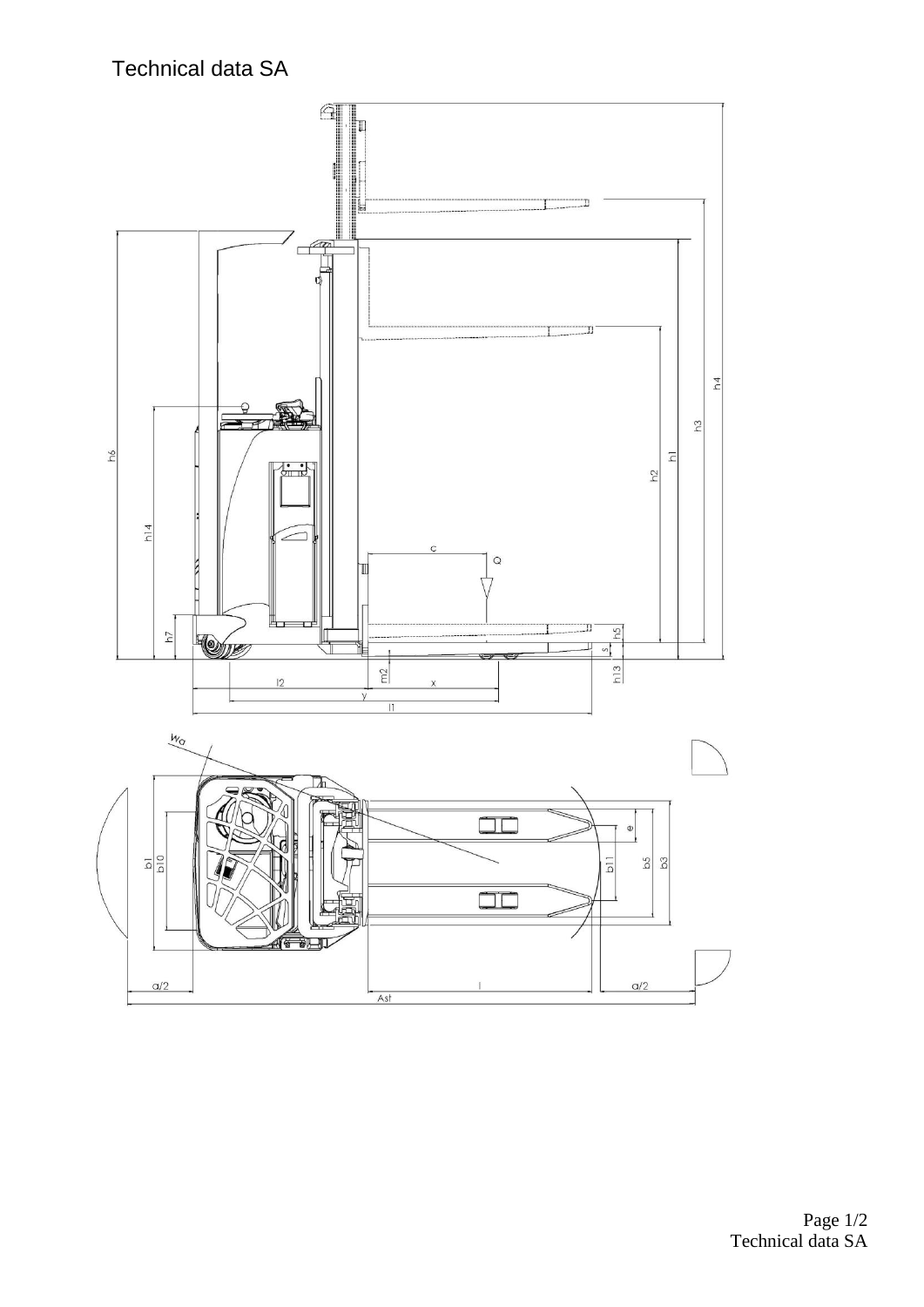Technical data SA